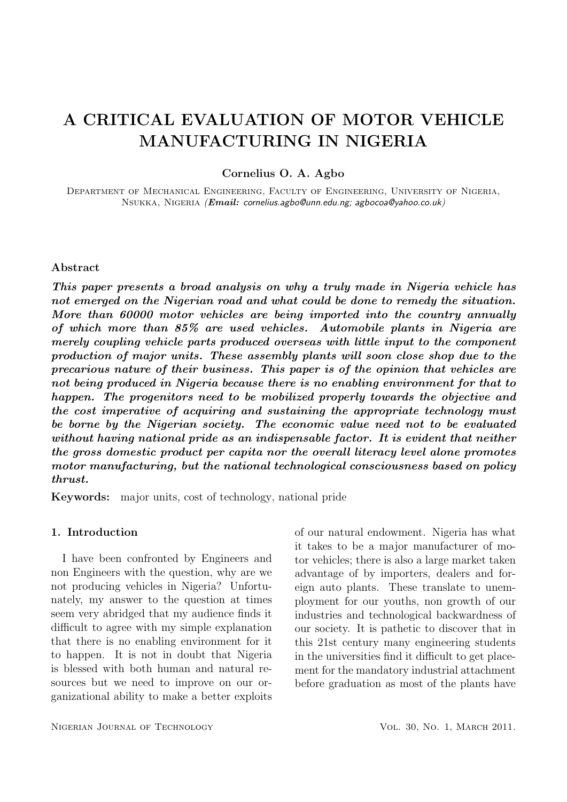# A CRITICAL EVALUATION OF MOTOR VEHICLE MANUFACTURING IN NIGERIA

# Cornelius O. A. Agbo

Department of Mechanical Engineering, Faculty of Engineering, University of Nigeria, Nsukka, Nigeria (Email: cornelius.agbo@unn.edu.ng; agbocoa@yahoo.co.uk)

## Abstract

This paper presents a broad analysis on why a truly made in Nigeria vehicle has not emerged on the Nigerian road and what could be done to remedy the situation. More than 60000 motor vehicles are being imported into the country annually of which more than 85% are used vehicles. Automobile plants in Nigeria are merely coupling vehicle parts produced overseas with little input to the component production of major units. These assembly plants will soon close shop due to the precarious nature of their business. This paper is of the opinion that vehicles are not being produced in Nigeria because there is no enabling environment for that to happen. The progenitors need to be mobilized properly towards the objective and the cost imperative of acquiring and sustaining the appropriate technology must be borne by the Nigerian society. The economic value need not to be evaluated without having national pride as an indispensable factor. It is evident that neither the gross domestic product per capita nor the overall literacy level alone promotes motor manufacturing, but the national technological consciousness based on policy thrust.

Keywords: major units, cost of technology, national pride

# 1. Introduction

I have been confronted by Engineers and non Engineers with the question, why are we not producing vehicles in Nigeria? Unfortunately, my answer to the question at times seem very abridged that my audience finds it difficult to agree with my simple explanation that there is no enabling environment for it to happen. It is not in doubt that Nigeria is blessed with both human and natural resources but we need to improve on our organizational ability to make a better exploits of our natural endowment. Nigeria has what it takes to be a major manufacturer of motor vehicles; there is also a large market taken advantage of by importers, dealers and foreign auto plants. These translate to unemployment for our youths, non growth of our industries and technological backwardness of our society. It is pathetic to discover that in this 21st century many engineering students in the universities find it difficult to get placement for the mandatory industrial attachment before graduation as most of the plants have

NIGERIAN JOURNAL OF TECHNOLOGY VOL. 30, NO. 1, MARCH 2011.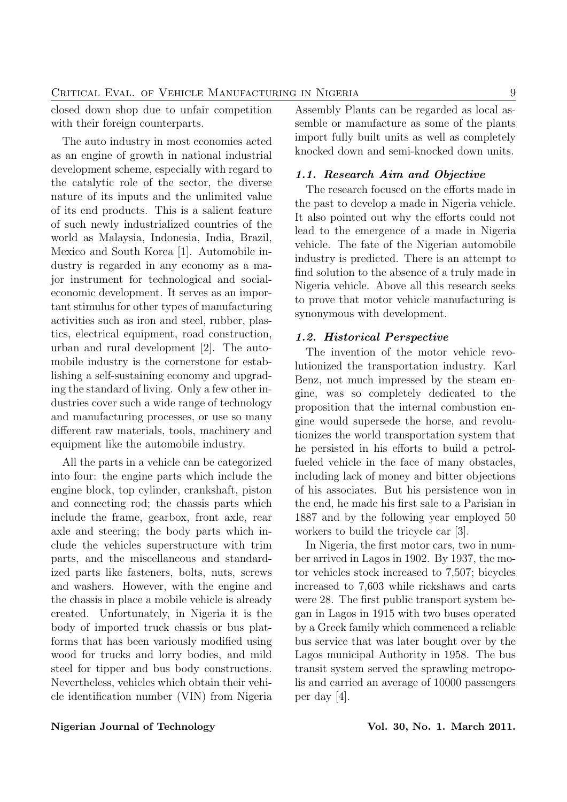closed down shop due to unfair competition with their foreign counterparts.

The auto industry in most economies acted as an engine of growth in national industrial development scheme, especially with regard to the catalytic role of the sector, the diverse nature of its inputs and the unlimited value of its end products. This is a salient feature of such newly industrialized countries of the world as Malaysia, Indonesia, India, Brazil, Mexico and South Korea [1]. Automobile industry is regarded in any economy as a major instrument for technological and socialeconomic development. It serves as an important stimulus for other types of manufacturing activities such as iron and steel, rubber, plastics, electrical equipment, road construction, urban and rural development [2]. The automobile industry is the cornerstone for establishing a self-sustaining economy and upgrading the standard of living. Only a few other industries cover such a wide range of technology and manufacturing processes, or use so many different raw materials, tools, machinery and equipment like the automobile industry.

All the parts in a vehicle can be categorized into four: the engine parts which include the engine block, top cylinder, crankshaft, piston and connecting rod; the chassis parts which include the frame, gearbox, front axle, rear axle and steering; the body parts which include the vehicles superstructure with trim parts, and the miscellaneous and standardized parts like fasteners, bolts, nuts, screws and washers. However, with the engine and the chassis in place a mobile vehicle is already created. Unfortunately, in Nigeria it is the body of imported truck chassis or bus platforms that has been variously modified using wood for trucks and lorry bodies, and mild steel for tipper and bus body constructions. Nevertheless, vehicles which obtain their vehicle identification number (VIN) from Nigeria Assembly Plants can be regarded as local assemble or manufacture as some of the plants import fully built units as well as completely knocked down and semi-knocked down units.

# 1.1. Research Aim and Objective

The research focused on the efforts made in the past to develop a made in Nigeria vehicle. It also pointed out why the efforts could not lead to the emergence of a made in Nigeria vehicle. The fate of the Nigerian automobile industry is predicted. There is an attempt to find solution to the absence of a truly made in Nigeria vehicle. Above all this research seeks to prove that motor vehicle manufacturing is synonymous with development.

#### 1.2. Historical Perspective

The invention of the motor vehicle revolutionized the transportation industry. Karl Benz, not much impressed by the steam engine, was so completely dedicated to the proposition that the internal combustion engine would supersede the horse, and revolutionizes the world transportation system that he persisted in his efforts to build a petrolfueled vehicle in the face of many obstacles, including lack of money and bitter objections of his associates. But his persistence won in the end, he made his first sale to a Parisian in 1887 and by the following year employed 50 workers to build the tricycle car [3].

In Nigeria, the first motor cars, two in number arrived in Lagos in 1902. By 1937, the motor vehicles stock increased to 7,507; bicycles increased to 7,603 while rickshaws and carts were 28. The first public transport system began in Lagos in 1915 with two buses operated by a Greek family which commenced a reliable bus service that was later bought over by the Lagos municipal Authority in 1958. The bus transit system served the sprawling metropolis and carried an average of 10000 passengers per day [4].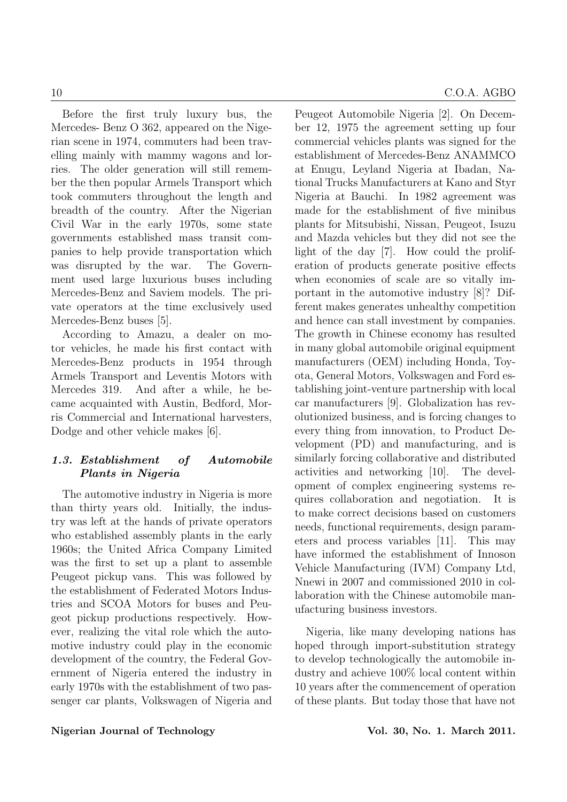Before the first truly luxury bus, the Mercedes- Benz O 362, appeared on the Nigerian scene in 1974, commuters had been travelling mainly with mammy wagons and lorries. The older generation will still remember the then popular Armels Transport which took commuters throughout the length and breadth of the country. After the Nigerian Civil War in the early 1970s, some state governments established mass transit companies to help provide transportation which was disrupted by the war. The Government used large luxurious buses including Mercedes-Benz and Saviem models. The private operators at the time exclusively used Mercedes-Benz buses [5].

According to Amazu, a dealer on motor vehicles, he made his first contact with Mercedes-Benz products in 1954 through Armels Transport and Leventis Motors with Mercedes 319. And after a while, he became acquainted with Austin, Bedford, Morris Commercial and International harvesters, Dodge and other vehicle makes [6].

# 1.3. Establishment of Automobile Plants in Nigeria

The automotive industry in Nigeria is more than thirty years old. Initially, the industry was left at the hands of private operators who established assembly plants in the early 1960s; the United Africa Company Limited was the first to set up a plant to assemble Peugeot pickup vans. This was followed by the establishment of Federated Motors Industries and SCOA Motors for buses and Peugeot pickup productions respectively. However, realizing the vital role which the automotive industry could play in the economic development of the country, the Federal Government of Nigeria entered the industry in early 1970s with the establishment of two passenger car plants, Volkswagen of Nigeria and Peugeot Automobile Nigeria [2]. On December 12, 1975 the agreement setting up four commercial vehicles plants was signed for the establishment of Mercedes-Benz ANAMMCO at Enugu, Leyland Nigeria at Ibadan, National Trucks Manufacturers at Kano and Styr Nigeria at Bauchi. In 1982 agreement was made for the establishment of five minibus plants for Mitsubishi, Nissan, Peugeot, Isuzu and Mazda vehicles but they did not see the light of the day [7]. How could the proliferation of products generate positive effects when economies of scale are so vitally important in the automotive industry [8]? Different makes generates unhealthy competition and hence can stall investment by companies. The growth in Chinese economy has resulted in many global automobile original equipment manufacturers (OEM) including Honda, Toyota, General Motors, Volkswagen and Ford establishing joint-venture partnership with local car manufacturers [9]. Globalization has revolutionized business, and is forcing changes to every thing from innovation, to Product Development (PD) and manufacturing, and is similarly forcing collaborative and distributed activities and networking [10]. The development of complex engineering systems requires collaboration and negotiation. It is to make correct decisions based on customers needs, functional requirements, design parameters and process variables [11]. This may have informed the establishment of Innoson Vehicle Manufacturing (IVM) Company Ltd, Nnewi in 2007 and commissioned 2010 in collaboration with the Chinese automobile manufacturing business investors.

Nigeria, like many developing nations has hoped through import-substitution strategy to develop technologically the automobile industry and achieve 100% local content within 10 years after the commencement of operation of these plants. But today those that have not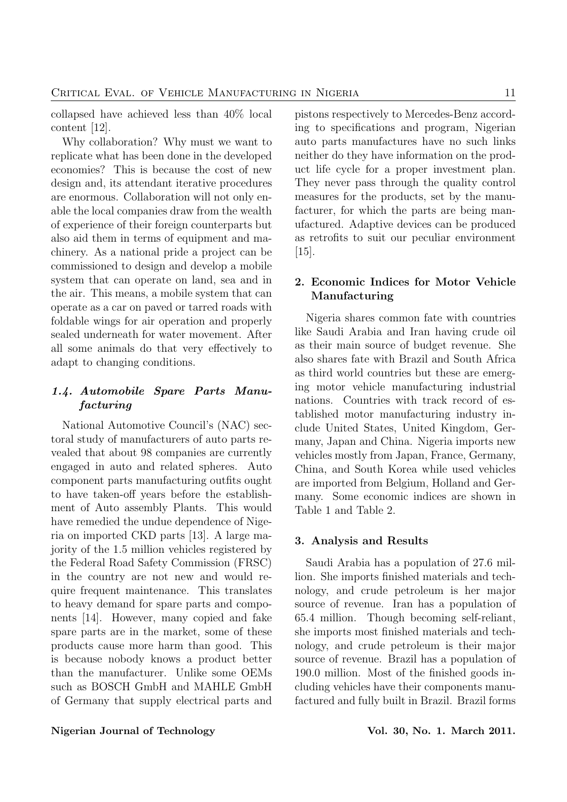collapsed have achieved less than 40% local content [12].

Why collaboration? Why must we want to replicate what has been done in the developed economies? This is because the cost of new design and, its attendant iterative procedures are enormous. Collaboration will not only enable the local companies draw from the wealth of experience of their foreign counterparts but also aid them in terms of equipment and machinery. As a national pride a project can be commissioned to design and develop a mobile system that can operate on land, sea and in the air. This means, a mobile system that can operate as a car on paved or tarred roads with foldable wings for air operation and properly sealed underneath for water movement. After all some animals do that very effectively to adapt to changing conditions.

# 1.4. Automobile Spare Parts Manufacturing

National Automotive Council's (NAC) sectoral study of manufacturers of auto parts revealed that about 98 companies are currently engaged in auto and related spheres. Auto component parts manufacturing outfits ought to have taken-off years before the establishment of Auto assembly Plants. This would have remedied the undue dependence of Nigeria on imported CKD parts [13]. A large majority of the 1.5 million vehicles registered by the Federal Road Safety Commission (FRSC) in the country are not new and would require frequent maintenance. This translates to heavy demand for spare parts and components [14]. However, many copied and fake spare parts are in the market, some of these products cause more harm than good. This is because nobody knows a product better than the manufacturer. Unlike some OEMs such as BOSCH GmbH and MAHLE GmbH of Germany that supply electrical parts and pistons respectively to Mercedes-Benz according to specifications and program, Nigerian auto parts manufactures have no such links neither do they have information on the product life cycle for a proper investment plan. They never pass through the quality control measures for the products, set by the manufacturer, for which the parts are being manufactured. Adaptive devices can be produced as retrofits to suit our peculiar environment [15].

# 2. Economic Indices for Motor Vehicle Manufacturing

Nigeria shares common fate with countries like Saudi Arabia and Iran having crude oil as their main source of budget revenue. She also shares fate with Brazil and South Africa as third world countries but these are emerging motor vehicle manufacturing industrial nations. Countries with track record of established motor manufacturing industry include United States, United Kingdom, Germany, Japan and China. Nigeria imports new vehicles mostly from Japan, France, Germany, China, and South Korea while used vehicles are imported from Belgium, Holland and Germany. Some economic indices are shown in Table 1 and Table 2.

# 3. Analysis and Results

Saudi Arabia has a population of 27.6 million. She imports finished materials and technology, and crude petroleum is her major source of revenue. Iran has a population of 65.4 million. Though becoming self-reliant, she imports most finished materials and technology, and crude petroleum is their major source of revenue. Brazil has a population of 190.0 million. Most of the finished goods including vehicles have their components manufactured and fully built in Brazil. Brazil forms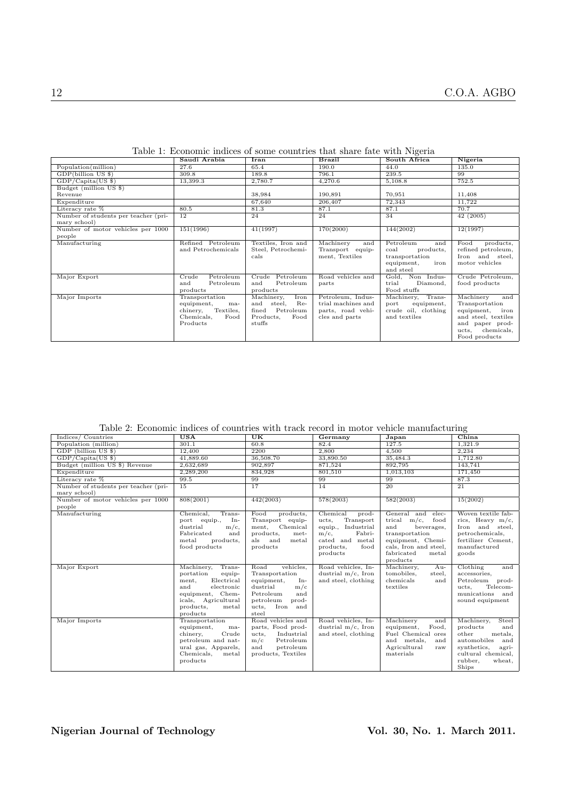|                                      | Saudi Arabia          | <b>Iran</b>        | <b>Brazil</b>      | South Africa         | Nigeria                       |
|--------------------------------------|-----------------------|--------------------|--------------------|----------------------|-------------------------------|
| Population(million)                  | 27.6                  | 65.4               | 190.0              | 44.0                 | 135.0                         |
| GDP(billion US \$)                   | 309.8                 | 189.8              | 796.1              | 239.5                | 99                            |
| $GDP/Capita(US \$                    | 13,399.3              | 2,780.7            | 4,270.6            | 5,108.8              | 752.5                         |
| Budget (million US \$)               |                       |                    |                    |                      |                               |
| Revenue                              |                       | 38,984             | 190,891            | 70,951               | 11,408                        |
| Expenditure                          |                       | 67,640             | 206,407            | 72,343               | 11,722                        |
| Literacy rate %                      | 80.5                  | 81.3               | 87.1               | 87.1                 | 70.7                          |
| Number of students per teacher (pri- | 12                    | 24                 | 24                 | 34                   | 42(2005)                      |
| mary school)                         |                       |                    |                    |                      |                               |
| Number of motor vehicles per 1000    | 151(1996)             | 41(1997)           | 170(2000)          | 144(2002)            | 12(1997)                      |
| people                               |                       |                    |                    |                      |                               |
| Manufacturing                        | Refined Petroleum     | Textiles, Iron and | Machinery<br>and   | Petroleum<br>and     | Food<br>products,             |
|                                      | and Petrochemicals    | Steel, Petrochemi- | Transport equip-   | products,<br>coal    | refined petroleum,            |
|                                      |                       | cals               | ment, Textiles     | transportation       | Iron and steel,               |
|                                      |                       |                    |                    | iron<br>equipment,   | motor vehicles                |
|                                      |                       |                    |                    | and steel            |                               |
| Major Export                         | Petroleum<br>Crude    | Petroleum<br>Crude | Road vehicles and  | Gold, Non Indus-     | Crude Petroleum,              |
|                                      | and<br>Petroleum      | and<br>Petroleum   | parts              | trial<br>Diamond,    | food products                 |
|                                      | products              | products           |                    | Food stuffs          |                               |
| Major Imports                        | Transportation        | Machinery,<br>Iron | Petroleum, Indus-  | Trans-<br>Machinery, | Machinery<br>and              |
|                                      | equipment,<br>ma-     | and steel,<br>Re-  | trial machines and | equipment,<br>port   | Transportation                |
|                                      | chinery,<br>Textiles, | Petroleum<br>fined | parts, road vehi-  | crude oil, clothing  | equipment, iron               |
|                                      | Chemicals,<br>Food    | Products,<br>Food  | cles and parts     | and textiles         | and steel, textiles           |
|                                      | Products              | stuffs             |                    |                      | and paper prod-<br>chemicals, |
|                                      |                       |                    |                    |                      | ucts,                         |
|                                      |                       |                    |                    |                      | Food products                 |

Table 1: Economic indices of some countries that share fate with Nigeria

Table 2: Economic indices of countries with track record in motor vehicle manufacturing

| Table 2. Economic multes of countries with track record in motor venicle manufacturing |                                                                                                                                                                      |                                                                                                                                                        |                                                                                                                                        |                                                                                                                                                                     |                                                                                                                                                              |  |  |
|----------------------------------------------------------------------------------------|----------------------------------------------------------------------------------------------------------------------------------------------------------------------|--------------------------------------------------------------------------------------------------------------------------------------------------------|----------------------------------------------------------------------------------------------------------------------------------------|---------------------------------------------------------------------------------------------------------------------------------------------------------------------|--------------------------------------------------------------------------------------------------------------------------------------------------------------|--|--|
| Indices/Countries                                                                      | $\overline{USA}$                                                                                                                                                     | $\overline{\text{UK}}$                                                                                                                                 | Germany                                                                                                                                | Japan                                                                                                                                                               | China                                                                                                                                                        |  |  |
| Population (million)                                                                   | 301.1                                                                                                                                                                | 60.8                                                                                                                                                   | 82.4                                                                                                                                   | 127.5                                                                                                                                                               | 1,321.9                                                                                                                                                      |  |  |
| GDP (billion US \$)                                                                    | 12,400                                                                                                                                                               | 2200                                                                                                                                                   | 2,800                                                                                                                                  | 4.500                                                                                                                                                               | 2,234                                                                                                                                                        |  |  |
| $GDP/Capita(US \$                                                                      | 41,889.60                                                                                                                                                            | 36,508.70                                                                                                                                              | 33,890.50                                                                                                                              | 35,484.3                                                                                                                                                            | 1,712.80                                                                                                                                                     |  |  |
| Budget (million US \$) Revenue                                                         | 2,632,689                                                                                                                                                            | 902,897                                                                                                                                                | 871,524                                                                                                                                | 892,795                                                                                                                                                             | 143,741                                                                                                                                                      |  |  |
| Expenditure                                                                            | 2,289,200                                                                                                                                                            | 834.928                                                                                                                                                | 801.510                                                                                                                                | 1,013,103                                                                                                                                                           | 171,450                                                                                                                                                      |  |  |
| Literacy rate %                                                                        | 99.5                                                                                                                                                                 | 99                                                                                                                                                     | 99                                                                                                                                     | 99                                                                                                                                                                  | 87.3                                                                                                                                                         |  |  |
| Number of students per teacher (pri-<br>mary school)                                   | $\overline{15}$                                                                                                                                                      | $\overline{17}$                                                                                                                                        | $\overline{14}$                                                                                                                        | $\overline{20}$                                                                                                                                                     | $\overline{21}$                                                                                                                                              |  |  |
| Number of motor vehicles per 1000<br>people                                            | 808(2001)                                                                                                                                                            | 442(2003)                                                                                                                                              | 578(2003)                                                                                                                              | 582(2003)                                                                                                                                                           | 15(2002)                                                                                                                                                     |  |  |
| Manufacturing                                                                          | Chemical,<br>Trans-<br>port equip.,<br>In-<br>dustrial<br>$m/c$ ,<br>Fabricated<br>and<br>products,<br>metal<br>food products                                        | Food<br>products,<br>Transport equip-<br>Chemical<br>ment,<br>products,<br>met-<br>als<br>and<br>metal<br>products                                     | Chemical<br>prod-<br>Transport<br>ucts,<br>equip., Industrial<br>$m/c$ ,<br>Fabri-<br>cated and metal<br>products,<br>food<br>products | General and elec-<br>trical $m/c$ ,<br>food<br>beverages,<br>and<br>transportation<br>equipment, Chemi-<br>cals, Iron and steel,<br>fabricated<br>metal<br>products | Woven textile fab-<br>rics, Heavy $m/c$ ,<br>Iron and steel,<br>petrochemicals,<br>fertilizer Cement,<br>manufactured<br>goods                               |  |  |
| Major Export                                                                           | Trans-<br>Machinery,<br>portation<br>equip-<br>Electrical<br>ment,<br>and<br>electronic<br>equipment, Chem-<br>icals, Agricultural<br>products,<br>metal<br>products | Road<br>vehicles.<br>Transportation<br>equipment,<br>In-<br>m/c<br>dustrial<br>Petroleum<br>and<br>prod-<br>petroleum<br>ucts,<br>Iron<br>and<br>steel | Road vehicles. In-<br>dustrial $m/c$ , Iron<br>and steel, clothing                                                                     | Machinery,<br>Au-<br>tomobiles,<br>steel,<br>chemicals<br>and<br>textiles                                                                                           | Clothing<br>and<br>accessories,<br>Petroleum<br>prod-<br>Telecom-<br>ucts,<br>munications and<br>sound equipment                                             |  |  |
| Major Imports                                                                          | Transportation<br>equipment,<br>ma-<br>chinery,<br>Crude<br>petroleum and nat-<br>ural gas, Apparels,<br>Chemicals,<br>metal<br>products                             | Road vehicles and<br>parts, Food prod-<br>Industrial<br>ucts,<br>m/c<br>Petroleum<br>petroleum<br>and<br>products, Textiles                            | Road vehicles, In-<br>dustrial $m/c$ , Iron<br>and steel, clothing                                                                     | Machinery<br>and<br>equipment,<br>Food,<br>Fuel Chemical ores<br>and metals,<br>and<br>Agricultural<br>raw<br>materials                                             | Machinery,<br>Steel<br>products<br>and<br>other<br>metals,<br>automobiles<br>and<br>synthetics,<br>agri-<br>cultural chemical,<br>rubber,<br>wheat,<br>Ships |  |  |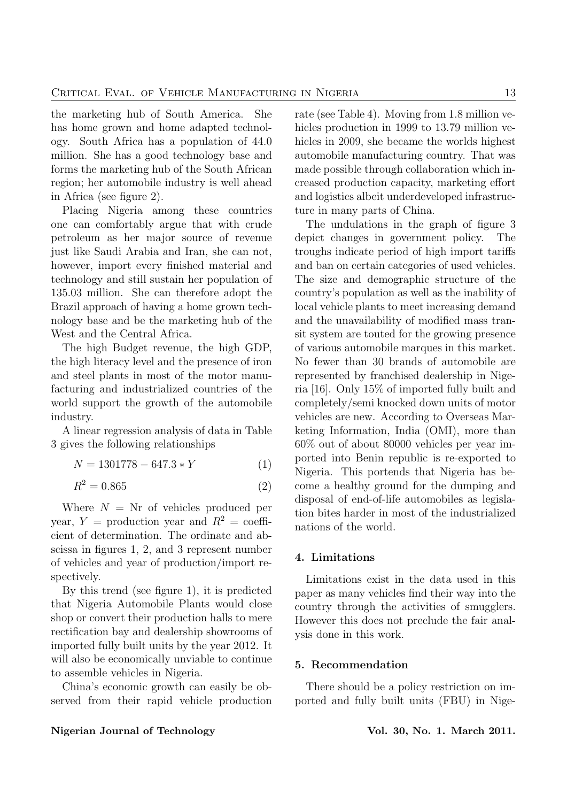the marketing hub of South America. She has home grown and home adapted technology. South Africa has a population of 44.0 million. She has a good technology base and forms the marketing hub of the South African region; her automobile industry is well ahead in Africa (see figure 2).

Placing Nigeria among these countries one can comfortably argue that with crude petroleum as her major source of revenue just like Saudi Arabia and Iran, she can not, however, import every finished material and technology and still sustain her population of 135.03 million. She can therefore adopt the Brazil approach of having a home grown technology base and be the marketing hub of the West and the Central Africa.

The high Budget revenue, the high GDP, the high literacy level and the presence of iron and steel plants in most of the motor manufacturing and industrialized countries of the world support the growth of the automobile industry.

A linear regression analysis of data in Table 3 gives the following relationships

$$
N = 1301778 - 647.3*Y \tag{1}
$$

$$
R^2 = 0.865
$$
 (2)

Where  $N = Nr$  of vehicles produced per year,  $Y =$  production year and  $R^2 =$  coefficient of determination. The ordinate and abscissa in figures 1, 2, and 3 represent number of vehicles and year of production/import respectively.

By this trend (see figure 1), it is predicted that Nigeria Automobile Plants would close shop or convert their production halls to mere rectification bay and dealership showrooms of imported fully built units by the year 2012. It will also be economically unviable to continue to assemble vehicles in Nigeria.

China's economic growth can easily be observed from their rapid vehicle production rate (see Table 4). Moving from 1.8 million vehicles production in 1999 to 13.79 million vehicles in 2009, she became the worlds highest automobile manufacturing country. That was made possible through collaboration which increased production capacity, marketing effort and logistics albeit underdeveloped infrastructure in many parts of China.

The undulations in the graph of figure 3 depict changes in government policy. The troughs indicate period of high import tariffs and ban on certain categories of used vehicles. The size and demographic structure of the country's population as well as the inability of local vehicle plants to meet increasing demand and the unavailability of modified mass transit system are touted for the growing presence of various automobile marques in this market. No fewer than 30 brands of automobile are represented by franchised dealership in Nigeria [16]. Only 15% of imported fully built and completely/semi knocked down units of motor vehicles are new. According to Overseas Marketing Information, India (OMI), more than 60% out of about 80000 vehicles per year imported into Benin republic is re-exported to Nigeria. This portends that Nigeria has become a healthy ground for the dumping and disposal of end-of-life automobiles as legislation bites harder in most of the industrialized nations of the world.

## 4. Limitations

Limitations exist in the data used in this paper as many vehicles find their way into the country through the activities of smugglers. However this does not preclude the fair analysis done in this work.

#### 5. Recommendation

There should be a policy restriction on imported and fully built units (FBU) in Nige-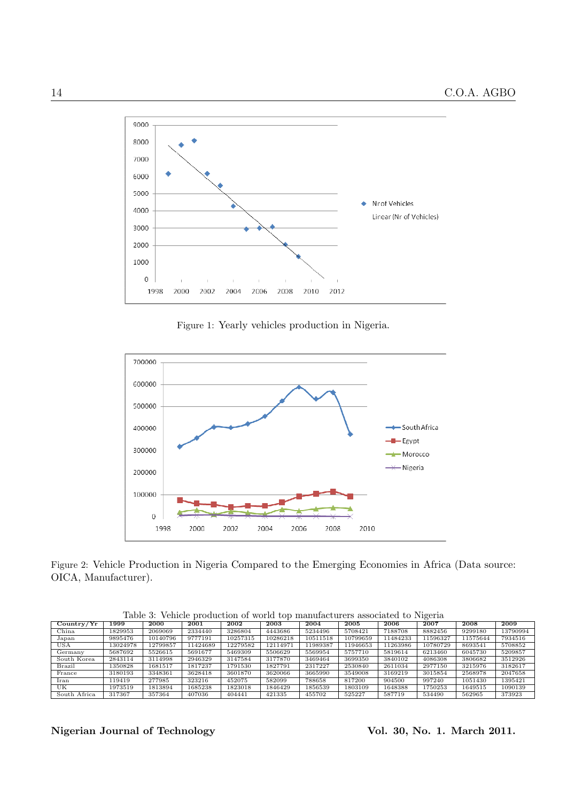

Figure 1: Yearly vehicles production in Nigeria.



Figure 2: Vehicle Production in Nigeria Compared to the Emerging Economies in Africa (Data source: OICA, Manufacturer).

| Country/Yr   | 1999     | 2000     | 2001    | 2002     | 2003     | 2004     | 2005     | 2006     | 2007     | 2008     | 2009     |
|--------------|----------|----------|---------|----------|----------|----------|----------|----------|----------|----------|----------|
| China        | 1829953  | 2069069  | 2334440 | 3286804  | 4443686  | 5234496  | 5708421  | 7188708  | 8882456  | 9299180  | 13790994 |
| Japan        | 9895476  | 10140796 | 9777191 | 10257315 | 10286218 | 10511518 | 10799659 | 11484233 | 11596327 | 11575644 | 7934516  |
| <b>USA</b>   | 13024978 | 12799857 | 1424689 | 2279582  | 12114971 | 1989387  | 1946653! | 11263986 | 10780729 | 8693541  | 5708852  |
| Germany      | 5687692  | 5526615  | 5691677 | 5469309  | 5506629  | 5569954  | 5757710  | 5819614  | 6213460  | 6045730  | 5209857  |
| South Korea  | 2843114  | 3114998  | 2946329 | 3147584  | 3177870  | 3469464  | 3699350  | 3840102  | 4086308  | 3806682  | 3512926  |
| Brazil       | 1350828  | 1681517  | 1817237 | 1791530  | 1827791  | 2317227  | 2530840  | 2611034  | 2977150  | 3215976  | 3182617  |
| France       | 3180193  | 3348361  | 3628418 | 3601870  | 3620066  | 3665990  | 3549008  | 3169219  | 3015854  | 2568978  | 2047658  |
| Iran         | 119419   | 277985   | 323216  | 452075   | 582099   | 788658   | 817200   | 904500   | 997240   | 1051430  | 1395421  |
| UK           | 1973519  | 1813894  | 1685238 | 1823018  | 1846429  | 1856539  | 1803109  | 1648388  | 1750253  | 1649515  | 1090139  |
| South Africa | 317367   | 357364   | 407036  | 404441   | 421335   | 455702   | 525227   | 587719   | 534490   | 562965   | 373923   |

Table 3: Vehicle production of world top manufacturers associated to Nigeria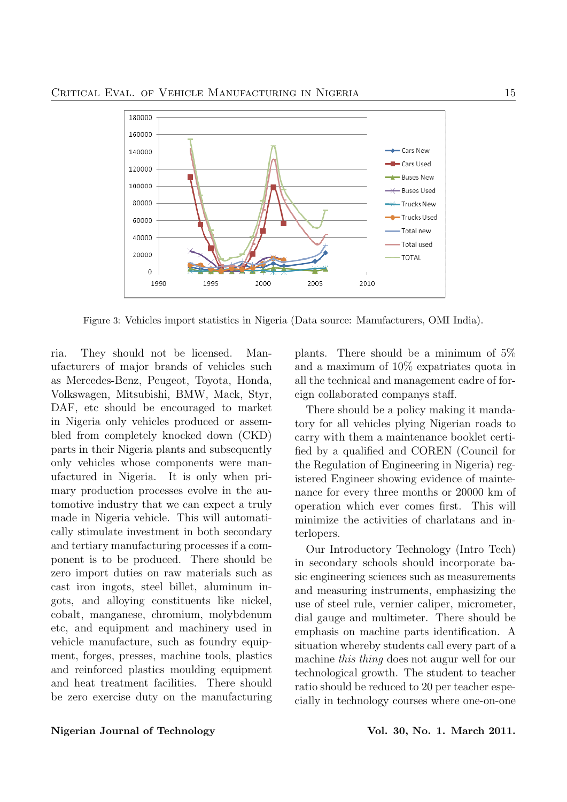

Figure 3: Vehicles import statistics in Nigeria (Data source: Manufacturers, OMI India).

ria. They should not be licensed. Manufacturers of major brands of vehicles such as Mercedes-Benz, Peugeot, Toyota, Honda, Volkswagen, Mitsubishi, BMW, Mack, Styr, DAF, etc should be encouraged to market in Nigeria only vehicles produced or assembled from completely knocked down (CKD) parts in their Nigeria plants and subsequently only vehicles whose components were manufactured in Nigeria. It is only when primary production processes evolve in the automotive industry that we can expect a truly made in Nigeria vehicle. This will automatically stimulate investment in both secondary and tertiary manufacturing processes if a component is to be produced. There should be zero import duties on raw materials such as cast iron ingots, steel billet, aluminum ingots, and alloying constituents like nickel, cobalt, manganese, chromium, molybdenum etc, and equipment and machinery used in vehicle manufacture, such as foundry equipment, forges, presses, machine tools, plastics and reinforced plastics moulding equipment and heat treatment facilities. There should be zero exercise duty on the manufacturing plants. There should be a minimum of 5% and a maximum of 10% expatriates quota in all the technical and management cadre of foreign collaborated companys staff.

There should be a policy making it mandatory for all vehicles plying Nigerian roads to carry with them a maintenance booklet certified by a qualified and COREN (Council for the Regulation of Engineering in Nigeria) registered Engineer showing evidence of maintenance for every three months or 20000 km of operation which ever comes first. This will minimize the activities of charlatans and interlopers.

Our Introductory Technology (Intro Tech) in secondary schools should incorporate basic engineering sciences such as measurements and measuring instruments, emphasizing the use of steel rule, vernier caliper, micrometer, dial gauge and multimeter. There should be emphasis on machine parts identification. A situation whereby students call every part of a machine this thing does not augur well for our technological growth. The student to teacher ratio should be reduced to 20 per teacher especially in technology courses where one-on-one